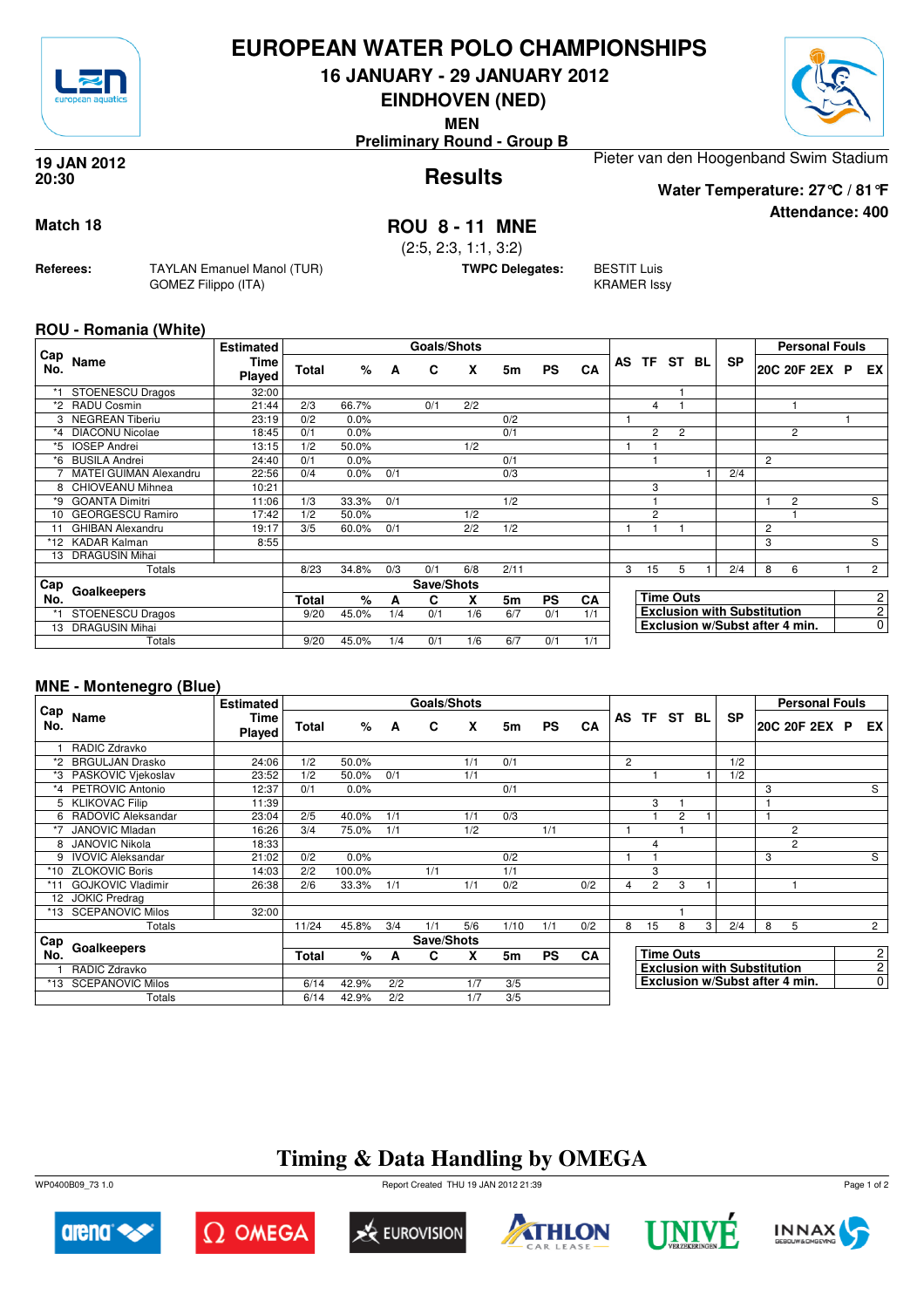

## **EUROPEAN WATER POLO CHAMPIONSHIPS**

**16 JANUARY - 29 JANUARY 2012**

**EINDHOVEN (NED)**

**MEN**

**Preliminary Round - Group B**

### **Results 19 JAN 2012 20:30**

Pieter van den Hoogenband Swim Stadium

### **Attendance: 400 Water Temperature: 27°C / 81°F**

**Match 18 ROU 8 - 11 MNE**

(2:5, 2:3, 1:1, 3:2)

**TWPC Delegates:** BESTIT Luis

KRAMER Issy

### **ROU - Romania (White)**

**Referees:** TAYLAN Emanuel Manol (TUR)

GOMEZ Filippo (ITA)

| Cap |                               | <b>Estimated</b> |       |       |     | <b>Goals/Shots</b> |     |      |           |     |    |                |                  |     |                                    |                | <b>Personal Fouls</b> |                |
|-----|-------------------------------|------------------|-------|-------|-----|--------------------|-----|------|-----------|-----|----|----------------|------------------|-----|------------------------------------|----------------|-----------------------|----------------|
| No. | Name                          | Time<br>Played   | Total | %     | A   | C                  | x   | 5m   | <b>PS</b> | CA  | AS | TF.            | ST               | BL. | <b>SP</b>                          |                | 20C 20F 2EX P         | EX.            |
| *1  | <b>STOENESCU Dragos</b>       | 32:00            |       |       |     |                    |     |      |           |     |    |                |                  |     |                                    |                |                       |                |
| *2  | <b>RADU Cosmin</b>            | 21:44            | 2/3   | 66.7% |     | 0/1                | 2/2 |      |           |     |    | 4              |                  |     |                                    |                |                       |                |
|     | <b>NEGREAN Tiberiu</b>        | 23:19            | 0/2   | 0.0%  |     |                    |     | 0/2  |           |     |    |                |                  |     |                                    |                |                       |                |
| *4  | <b>DIACONU Nicolae</b>        | 18:45            | 0/1   | 0.0%  |     |                    |     | 0/1  |           |     |    | $\overline{c}$ | $\overline{2}$   |     |                                    |                | 2                     |                |
| *5  | <b>IOSEP Andrei</b>           | 13:15            | 1/2   | 50.0% |     |                    | 1/2 |      |           |     |    |                |                  |     |                                    |                |                       |                |
| *6  | <b>BUSILA Andrei</b>          | 24:40            | 0/1   | 0.0%  |     |                    |     | 0/1  |           |     |    |                |                  |     |                                    | $\overline{2}$ |                       |                |
|     | <b>MATEI GUIMAN Alexandru</b> | 22:56            | 0/4   | 0.0%  | 0/1 |                    |     | 0/3  |           |     |    |                |                  |     | 2/4                                |                |                       |                |
| 8   | CHIOVEANU Mihnea              | 10:21            |       |       |     |                    |     |      |           |     |    | 3              |                  |     |                                    |                |                       |                |
| *9  | <b>GOANTA Dimitri</b>         | 11:06            | 1/3   | 33.3% | 0/1 |                    |     | 1/2  |           |     |    |                |                  |     |                                    |                | 2                     | S              |
| 10  | <b>GEORGESCU Ramiro</b>       | 17:42            | 1/2   | 50.0% |     |                    | 1/2 |      |           |     |    | $\overline{2}$ |                  |     |                                    |                |                       |                |
| 11  | <b>GHIBAN Alexandru</b>       | 19:17            | 3/5   | 60.0% | 0/1 |                    | 2/2 | 1/2  |           |     |    |                |                  |     |                                    | 2              |                       |                |
| *12 | <b>KADAR Kalman</b>           | 8:55             |       |       |     |                    |     |      |           |     |    |                |                  |     |                                    | 3              |                       | S              |
| 13  | <b>DRAGUSIN Mihai</b>         |                  |       |       |     |                    |     |      |           |     |    |                |                  |     |                                    |                |                       |                |
|     | Totals                        |                  | 8/23  | 34.8% | 0/3 | 0/1                | 6/8 | 2/11 |           |     | 3  | 15             | 5                |     | 2/4                                | 8              | 6                     | $\overline{2}$ |
| Cap | Goalkeepers                   |                  |       |       |     | Save/Shots         |     |      |           |     |    |                |                  |     |                                    |                |                       |                |
| No. |                               |                  | Total | $\%$  | A   | C                  | x   | 5m   | <b>PS</b> | CA  |    |                | <b>Time Outs</b> |     |                                    |                |                       | $\overline{c}$ |
|     | <b>STOENESCU Dragos</b>       |                  | 9/20  | 45.0% | 1/4 | 0/1                | 1/6 | 6/7  | 0/1       | 1/1 |    |                |                  |     | <b>Exclusion with Substitution</b> |                |                       | $\overline{2}$ |
| 13  | <b>DRAGUSIN Mihai</b>         |                  |       |       |     |                    |     |      |           |     |    |                |                  |     | Exclusion w/Subst after 4 min.     |                |                       | $\overline{0}$ |
|     | Totals                        |                  | 9/20  | 45.0% | 1/4 | 0/1                | 1/6 | 6/7  | 0/1       | 1/1 |    |                |                  |     |                                    |                |                       |                |

### **MNE - Montenegro (Blue)**

|            |                          | <b>Estimated</b>      |       |        |     | Goals/Shots |     |      |           |           |                |                |                  |   |                                    |   | <b>Personal Fouls</b> |                |
|------------|--------------------------|-----------------------|-------|--------|-----|-------------|-----|------|-----------|-----------|----------------|----------------|------------------|---|------------------------------------|---|-----------------------|----------------|
| Cap<br>No. | Name                     | <b>Time</b><br>Played | Total | %      | A   | C           | X   | 5m   | <b>PS</b> | CA        |                |                | AS TF ST BL      |   | <b>SP</b>                          |   | 20C 20F 2EX P         | EX I           |
|            | RADIC Zdravko            |                       |       |        |     |             |     |      |           |           |                |                |                  |   |                                    |   |                       |                |
| *2         | <b>BRGULJAN Drasko</b>   | 24:06                 | 1/2   | 50.0%  |     |             | 1/1 | 0/1  |           |           | $\overline{c}$ |                |                  |   | 1/2                                |   |                       |                |
|            | PASKOVIC Viekoslav       | 23:52                 | 1/2   | 50.0%  | 0/1 |             | 1/1 |      |           |           |                |                |                  |   | 1/2                                |   |                       |                |
|            | *4 PETROVIC Antonio      | 12:37                 | 0/1   | 0.0%   |     |             |     | 0/1  |           |           |                |                |                  |   |                                    | 3 |                       | S              |
|            | 5 KLIKOVAC Filip         | 11:39                 |       |        |     |             |     |      |           |           |                | 3              |                  |   |                                    |   |                       |                |
| 6          | RADOVIC Aleksandar       | 23:04                 | 2/5   | 40.0%  | 1/1 |             | 1/1 | 0/3  |           |           |                |                | 2                |   |                                    |   |                       |                |
| *7         | <b>JANOVIC Mladan</b>    | 16:26                 | 3/4   | 75.0%  | 1/1 |             | 1/2 |      | 1/1       |           |                |                |                  |   |                                    |   | $\overline{2}$        |                |
| 8          | <b>JANOVIC Nikola</b>    | 18:33                 |       |        |     |             |     |      |           |           |                | 4              |                  |   |                                    |   | $\overline{2}$        |                |
| 9          | <b>IVOVIC Aleksandar</b> | 21:02                 | 0/2   | 0.0%   |     |             |     | 0/2  |           |           |                |                |                  |   |                                    | 3 |                       | S              |
| *10        | <b>ZLOKOVIC Boris</b>    | 14:03                 | 2/2   | 100.0% |     | 1/1         |     | 1/1  |           |           |                | 3              |                  |   |                                    |   |                       |                |
|            | <b>GOJKOVIC Vladimir</b> | 26:38                 | 2/6   | 33.3%  | 1/1 |             | 1/1 | 0/2  |           | 0/2       | 4              | $\overline{2}$ | 3                |   |                                    |   |                       |                |
| 12         | <b>JOKIC Predrag</b>     |                       |       |        |     |             |     |      |           |           |                |                |                  |   |                                    |   |                       |                |
| *13        | <b>SCEPANOVIC Milos</b>  | 32:00                 |       |        |     |             |     |      |           |           |                |                |                  |   |                                    |   |                       |                |
|            | Totals                   |                       | 11/24 | 45.8%  | 3/4 | 1/1         | 5/6 | 1/10 | 1/1       | 0/2       | 8              | 15             | 8                | 3 | 2/4                                | 8 | 5                     | $\overline{2}$ |
| ⊩Cap       |                          |                       |       |        |     | Save/Shots  |     |      |           |           |                |                |                  |   |                                    |   |                       |                |
| No.        | Goalkeepers              |                       | Total | %      | A   | C           | X   | 5m   | <b>PS</b> | <b>CA</b> |                |                | <b>Time Outs</b> |   |                                    |   |                       | $\mathsf{2}$   |
|            | RADIC Zdravko            |                       |       |        |     |             |     |      |           |           |                |                |                  |   | <b>Exclusion with Substitution</b> |   |                       | $\overline{2}$ |
| *13        | <b>SCEPANOVIC Milos</b>  |                       | 6/14  | 42.9%  | 2/2 |             | 1/7 | 3/5  |           |           |                |                |                  |   | Exclusion w/Subst after 4 min.     |   |                       | $\overline{0}$ |
|            | Totals                   |                       | 6/14  | 42.9%  | 2/2 |             | 1/7 | 3/5  |           |           |                |                |                  |   |                                    |   |                       |                |

## **Timing & Data Handling by OMEGA**

WP0400B09\_73 1.0 Report Created THU 19 JAN 2012 21:39













Page 1 of 2